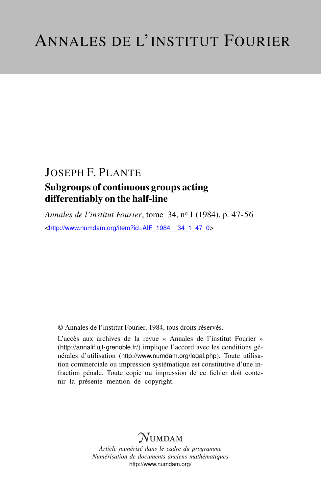# JOSEPH F. PLANTE

## Subgroups of continuous groups acting differentiably on the half-line

*Annales de l'institut Fourier*, tome 34, n<sup>o</sup> 1 (1984), p. 47-56 <[http://www.numdam.org/item?id=AIF\\_1984\\_\\_34\\_1\\_47\\_0](http://www.numdam.org/item?id=AIF_1984__34_1_47_0)>

© Annales de l'institut Fourier, 1984, tous droits réservés.

L'accès aux archives de la revue « Annales de l'institut Fourier » (<http://annalif.ujf-grenoble.fr/>) implique l'accord avec les conditions générales d'utilisation (<http://www.numdam.org/legal.php>). Toute utilisation commerciale ou impression systématique est constitutive d'une infraction pénale. Toute copie ou impression de ce fichier doit contenir la présente mention de copyright.

# NUMDAM

*Article numérisé dans le cadre du programme Numérisation de documents anciens mathématiques* <http://www.numdam.org/>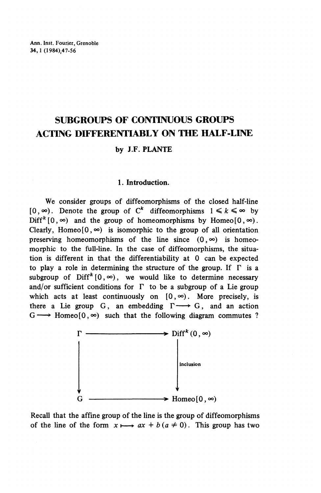Ann. Inst. Fourier, Grenoble 34,1 (1984)47-56

## **SUBGROUPS OF CONTINUOUS GROUPS ACTING DIFFERENTIABLY ON THE HALF-LINE**

### by **J.F. PLANTE**

#### **1. Introduction.**

We consider groups of diffeomorphisms of the closed half-line  $[0, \infty)$ . Denote the group of C<sup>k</sup> diffeomorphisms  $1 \leq k \leq \infty$  by  $\text{Diff}^{k}[0,\infty)$  and the group of homeomorphisms by Homeo $[0,\infty)$ . Clearly, Homeo<sup>[0,  $\infty$ ]</sup> is isomorphic to the group of all orientation preserving homeomorphisms of the line since  $(0, \infty)$  is homeomorphic to the full-line. In the case of diffeomorphisms, the situation is different in that the differentiability at 0 can be expected to play a role in determining the structure of the group. If  $\Gamma$  is a subgroup of  $\text{Diff}^k[0, \infty)$ , we would like to determine necessary and/or sufficient conditions for  $\Gamma$  to be a subgroup of a Lie group which acts at least continuously on  $[0, \infty)$ . More precisely, is there a Lie group G, an embedding  $\Gamma \longrightarrow G$ , and an action  $G \longrightarrow$  Homeo<sup>[0</sup>,  $\infty$ ) such that the following diagram commutes ?



Recall that the affine group of the line is the group of diffeomorphisms of the line of the form  $x \mapsto ax + b (a \neq 0)$ . This group has two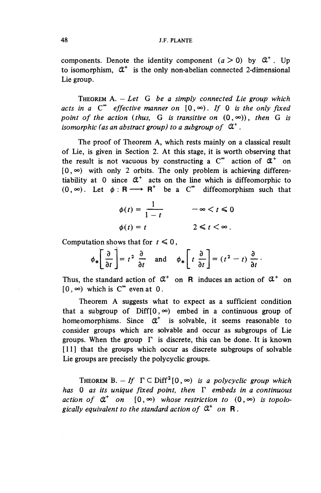#### 48 J.F. PLANTE

components. Denote the identity component  $(a > 0)$  by  $\mathfrak{A}^+$ . Up to isomorphism,  $\mathfrak{C}^+$  is the only non-abelian connected 2-dimensional Lie group.

THEOREM A. — *Let G be a simply connected Lie group which* acts in a  $C^{\infty}$  effective manner on  $[0, \infty)$ . If 0 is the only fixed *point of the action (thus, G is transitive on*  $(0, \infty)$ ), then G is *isomorphic (as an abstract group) to a subgroup of*  $\mathfrak{A}^+$ .

The proof of Theorem A, which rests mainly on a classical result of Lie, is given in Section 2. At this stage, it is worth observing that the result is not vacuous by constructing a  $C^{\infty}$  action of  $\mathfrak{A}^+$  on  $[0, \infty)$  with only 2 orbits. The only problem is achieving differentiability at 0 since  $\alpha^*$  acts on the line which is diffeomorphic to  $(0, \infty)$ . Let  $\phi : \mathsf{R} \longrightarrow \mathsf{R}^+$  be a  $\mathsf{C}^\infty$  diffeomorphism such that

$$
\phi(t) = \frac{1}{1-t} \qquad -\infty < t \leq 0
$$
\n
$$
\phi(t) = t \qquad 2 \leq t < \infty \, .
$$

Computation shows that for 
$$
t \le 0
$$
,  
\n
$$
\phi_* \left[ \frac{\partial}{\partial t} \right] = t^2 \frac{\partial}{\partial t} \quad \text{and} \quad \phi_* \left[ t \frac{\partial}{\partial t} \right] = (t^2 - t) \frac{\partial}{\partial t}.
$$

Thus, the standard action of  $\mathfrak{C}^+$  on R induces an action of  $\mathfrak{C}^+$  on  $[0, \infty)$  which is  $C^{\infty}$  even at 0.

Theorem A suggests what to expect as a sufficient condition that a subgroup of  $Diff(0, \infty)$  embed in a continuous group of homeomorphisms. Since *0^* is solvable, it seems reasonable to consider groups which are solvable and occur as subgroups of Lie groups. When the group  $\Gamma$  is discrete, this can be done. It is known [11] that the groups which occur as discrete subgroups of solvable Lie groups are precisely the polycyclic groups.

THEOREM B.  $-$  If  $\Gamma \subset \text{Diff}^2[0,\infty)$  is a polycyclic group which *has* 0 *as its unique fixed point, then*  $\Gamma$  *embeds in a continuous action of*  $\mathfrak{A}^+$  *on*  $[0, \infty)$  *whose restriction to*  $(0, \infty)$  *is topolo*gically equivalent to the standard action of  $\mathfrak{A}^+$  on **R**.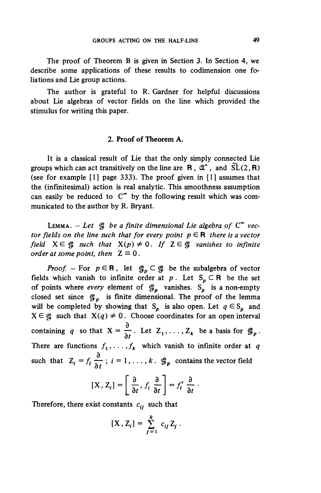The proof of Theorem B is given in Section 3. In Section 4, we describe some applications of these results to codimension one foliations and Lie group actions.

The author is grateful to R. Gardner for helpful discussions about Lie algebras of vector fields on the line which provided the stimulus for writing this paper.

#### **2. Proof of Theorem A.**

It is a classical result of Lie that the only simply connected Lie groups which can act transitively on the line are R,  $\mathfrak{C}^+$ , and  $\widetilde{\mathrm{SL}}(2,\mathbf{R})$ (see for example [1] page 333). The proof given in [1] assumes that the (infinitesimal) action is real analytic. This smoothness assumption can easily be reduced to  $C^{\infty}$  by the following result which was communicated to the author by R. Bryant.

**LEMMA.**  $-$  *Let*  $\mathcal{G}$  *be a finite dimensional Lie algebra of*  $C^{\infty}$  *vector fields on the line such that for every point*  $p \in \mathbb{R}$  *there is a vector field*  $X \in \mathcal{G}$  *such that*  $X(p) \neq 0$ . If  $Z \in \mathcal{G}$  vanishes to infinite *order at some point, then*  $Z \equiv 0$ .

*Proof.* – For  $p \in \mathbb{R}$ , let  $\mathcal{G}_p \subset \mathcal{G}$  be the subalgebra of vector fields which vanish to infinite order at  $p$ . Let  $S_p \subset \mathbb{R}$  be the set of points where *every* element of  $\mathcal{G}_p$  vanishes. S<sub>p</sub> is a non-empty closed set since  $\mathcal{G}_p$  is finite dimensional. The proof of the lemma will be completed by showing that  $S_p$  is also open. Let  $q \in S_p$  and  $X \in \mathcal{G}$  such that  $X(q) \neq 0$ . Choose coordinates for an open interval containing q so that  $X = \frac{\partial}{\partial x}$ . Let  $Z_1, \ldots, Z_k$  be a basis for  $\mathcal{G}_p$ . There are functions  $f_1, \ldots, f_k$  which vanish to infinite order at q such that  $Z_i = f_i \frac{\partial}{\partial x_i}$ ;  $i = 1, ..., k$ .  $\mathcal{G}_p$  contains the vector field

$$
[\mathbf{X}, \mathbf{Z}_i] = \left[\frac{\partial}{\partial t}, f_i \frac{\partial}{\partial t}\right] = f'_i \frac{\partial}{\partial t}.
$$

Therefore, there exist constants  $c_{ij}$  such that

$$
[\mathbf{X}, \mathbf{Z}_i] = \sum_{j=1}^k c_{ij} \mathbf{Z}_j.
$$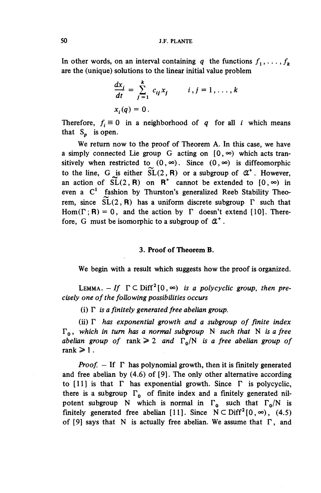In other words, on an interval containing q the functions  $f_1, \ldots, f_k$ are the (unique) solutions to the linear initial value problem

$$
\frac{dx_i}{dt} = \sum_{j=1}^k c_{ij} x_j \qquad i, j = 1, \dots, k
$$
  

$$
x_i(q) = 0.
$$

Therefore,  $f_i \equiv 0$  in a neighborhood of  $q$  for all *i* which means that  $S_p$  is open.

We return now to the proof of Theorem A. In this case, we have a simply connected Lie group G acting on  $[0, \infty)$  which acts transitively when restricted to  $(0, \infty)$ . Since  $(0, \infty)$  is diffeomorphic to the line, G is either  $\widetilde{SL}(2, R)$  or a subgroup of  $\mathfrak{C}^*$ . However, an action of  $\widetilde{SL}(2, \mathbf{R})$  on  $\mathbf{R}^+$  cannot be extended to  $[0, \infty)$  in even a  $C<sup>1</sup>$  fashion by Thurston's generalized Reeb Stability Theorem, since  $SL(2, R)$  has a uniform discrete subgroup  $\Gamma$  such that Hom( $\Gamma$ ; R) = 0, and the action by  $\Gamma$  doesn't extend [10]. Therefore, G must be isomorphic to a subgroup of  $\mathfrak{C}^+$ .

#### **3. Proof of Theorem B.**

We begin with a result which suggests how the proof is organized.

LEMMA.  $-If \Gamma \subset \text{Diff}^2[0, \infty)$  is a polycyclic group, then pre*cisely one of the following possibilities occurs*

(i)  $\Gamma$  is a finitely generated free abelian group.

(ii)  $\Gamma$  has exponential growth and a subgroup of finite index  $\Gamma_0$ , which in turn has a normal subgroup N such that N is a free *abelian group of rank*  $\geq 2$  *and*  $\Gamma_0/N$  *is a free abelian group of* rank  $\geqslant$  1.

*Proof.*  $-$  If  $\Gamma$  has polynomial growth, then it is finitely generated and free abelian by (4.6) of [9]. The only other alternative according to [11] is that  $\Gamma$  has exponential growth. Since  $\Gamma$  is polycyclic, there is a subgroup  $\Gamma_0$  of finite index and a finitely generated nilpotent subgroup N which is normal in  $\Gamma_0$  such that  $\Gamma_0/N$  is finitely generated free abelian [11]. Since  $N \subset Diff^2[0, \infty)$ , (4.5) of [9] says that N is actually free abelian. We assume that  $\Gamma$ , and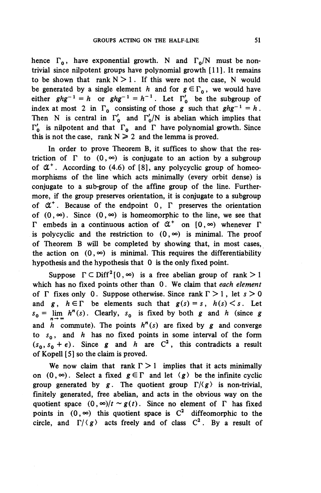hence  $\Gamma_0$ , have exponential growth. N and  $\Gamma_0/N$  must be nontrivial since nilpotent groups have polynomial growth [11]. It remains to be shown that rank  $N > 1$ . If this were not the case, N would be generated by a single element *h* and for  $g \in \Gamma_0$ , we would have either  $ghg^{-1} = h$  or  $ghg^{-1} = h^{-1}$ . Let  $\Gamma_0'$  be the subgroup of index at most 2 in  $\Gamma_0$  consisting of those g such that  $ghg^{-1} = h$ . Then N is central in  $\Gamma'_{0}$  and  $\Gamma'_{0}/N$  is abelian which implies that  $\Gamma_0'$  is nilpotent and that  $\Gamma_0$  and  $\Gamma$  have polynomial growth. Since this is not the case, rank  $N \ge 2$  and the lemma is proved.

In order to prove Theorem B, it suffices to show that the restriction of  $\Gamma$  to  $(0, \infty)$  is conjugate to an action by a subgroup of  $\alpha^*$ . According to (4.6) of [8], any polycyclic group of homeomorphisms of the line which acts minimally (every orbit dense) is conjugate to a sub-group of the affine group of the line. Furthermore, if the group preserves orientation, it is conjugate to a subgroup of  $\alpha^*$ . Because of the endpoint 0,  $\Gamma$  preserves the orientation of  $(0, \infty)$ . Since  $(0, \infty)$  is homeomorphic to the line, we see that  $\Gamma$  embeds in a continuous action of  $\mathfrak{A}^+$  on  $[0, \infty)$  whenever  $\Gamma$ is polycyclic and the restriction to  $(0, \infty)$  is minimal. The proof of Theorem B will be completed by showing that, in most cases, the action on  $(0, \infty)$  is minimal. This requires the differentiability hypothesis and the hypothesis that 0 is the only fixed point.

Suppose  $\Gamma \subset \text{Diff}^2(0, \infty)$  is a free abelian group of rank  $> 1$ which has no fixed points other than 0. We claim that *each element* of  $\Gamma$  fixes only 0. Suppose otherwise. Since rank  $\Gamma > 1$ , let  $s > 0$ and  $g, h \in \Gamma$  be elements such that  $g(s) = s, h(s) \leq s$ . Let  $s_0 = \lim_{n \to \infty} h^n(s)$ . Clearly,  $s_0$  is fixed by both *g* and *h* (since *g* and *h* commute). The points  $h^n(s)$  are fixed by g and converge to  $s_0$ , and *h* has no fixed points in some interval of the form  $(s_0, s_0 + \epsilon)$ . Since g and h are C<sup>2</sup>, this contradicts a result of Kopell [5] so the claim is proved.

We now claim that rank  $\Gamma > 1$  implies that it acts minimally on  $(0, \infty)$ . Select a fixed  $g \in \Gamma$  and let  $\langle g \rangle$  be the infinite cyclic group generated by  $g$ . The quotient group  $\Gamma/\langle g \rangle$  is non-trivial, finitely generated, free abelian, and acts in the obvious way on the quotient space  $(0, \infty)/t \sim g(t)$ . Since no element of  $\Gamma$  has fixed points in  $(0, \infty)$  this quotient space is  $C^2$  diffeomorphic to the circle, and  $\Gamma/\langle g \rangle$  acts freely and of class  $C^2$ . By a result of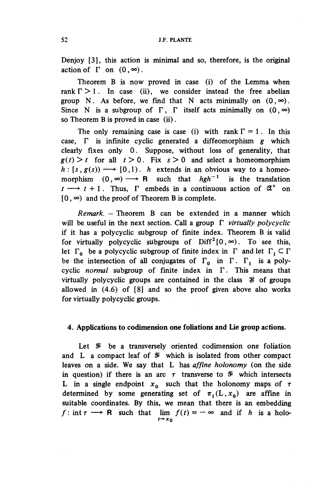Denjoy [3], this action is minimal and so, therefore, is the original action of  $\Gamma$  on  $(0, \infty)$ .

Theorem B is now proved in case (i) of the Lemma when rank  $\Gamma > 1$ . In case (ii), we consider instead the free abelian group N. As before, we find that N acts minimally on  $(0, \infty)$ . Since N is a subgroup of  $\Gamma$ ,  $\Gamma$  itself acts minimally on  $(0, \infty)$ so Theorem B is proved in case (ii).

The only remaining case is case (i) with rank  $\Gamma = 1$ . In this case.  $\Gamma$  is infinite cyclic generated a diffeomorphism  $g$  which clearly fixes only 0. Suppose, without loss of generality, that  $g(t)$  > t for all  $t > 0$ . Fix  $s > 0$  and select a homeomorphism  $h: [s, g(s)) \longrightarrow [0,1)$ . *h* extends in an obvious way to a homeomorphism  $(0, \infty) \longrightarrow \mathbb{R}$  such that  $hgh^{-1}$  is the translation  $t \rightarrow t + 1$ . Thus,  $\Gamma$  embeds in a continuous action of  $\mathfrak{A}^+$  on  $[0, \infty)$  and the proof of Theorem B is complete.

*Remark. —* Theorem B can be extended in a manner which will be useful in the next section. Call a group F *virtually polycyclic* if it has a polycyclic subgroup of finite index. Theorem B is valid for virtually polycyclic subgroups of  $\text{Diff}^2[0,\infty)$ . To see this, let  $\Gamma_0$  be a polycyclic subgroup of finite index in  $\Gamma$  and let  $\Gamma_1 \subset \Gamma$ be the intersection of all conjugates of  $\Gamma_0$  in  $\Gamma$ .  $\Gamma_1$  is a polycyclic *normal* subgroup of finite index in F. This means that virtually polycyclic groups are contained in the class S of groups allowed in (4.6) of [8] and so the proof given above also works for virtually polycyclic groups.

### **4. Applications to codimension one foliations and Lie group actions.**

Let  $\mathcal{F}$  be a transversely oriented codimension one foliation and L a compact leaf of  $\mathcal G$  which is isolated from other compact leaves on a side. We say that L has *affine holonomy* (on the side in question) if there is an arc  $\tau$  transverse to  $\mathcal V$  which intersects L in a single endpoint  $x_0$  such that the holonomy maps of  $\tau$ determined by some generating set of  $\pi_1(L,x_0)$  are affine in suitable coordinates. By this, we mean that there is an embedding  $f: \text{int } \tau \longrightarrow \mathbb{R}$  such that  $\lim_{t \to \infty} f(t) = -\infty$  and if  $h$  is a holo $t \rightarrow x_0$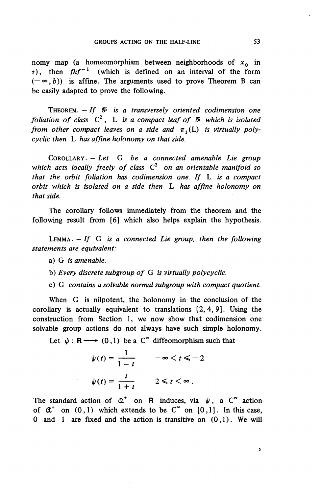nomy map (a homeomorphism between neighborhoods of  $x_0$  in  $\tau$ ), then  $fhf^{-1}$  (which is defined on an interval of the form  $(-\infty, b)$  is affine. The arguments used to prove Theorem B can be easily adapted to prove the following.

THEOREM.  $-If \, \n\mathcal{F}$  is a transversely oriented codimension one foliation of class  $C^2$ , L is a compact leaf of  $\mathcal I$  which is isolated *from other compact leaves on a side and*  $\pi_1(L)$  *is virtually polycyclic then L has affine holonomy on that side.*

COROLLARY. — *Let G be a connected amenable Lie group* which acts locally freely of class  $C^2$  on an orientable manifold so *that the orbit foliation has codimension one. If* L *is a compact orbit which is isolated on a side then* L *has affine holonomy on that side.*

The corollary follows immediately from the theorem and the following result from [6] which also helps explain the hypothesis.

LEMMA. *— If G is a connected Lie group, then the following statements are equivalent:*

- a) G *is amenable.*
- b) *Every discrete subgroup of G is virtually polycyclic.*
- c) G *contains a solvable normal subgroup with compact quotient.*

When G is nilpotent, the holonomy in the conclusion of the corollary is actually equivalent to translations [2,4,9]. Using the construction from Section 1, we now show that codimension one solvable group actions do not always have such simple holonomy.

Let  $\psi : \mathbf{R} \longrightarrow (0,1)$  be a C<sup>\*</sup> diffeomorphism such that

$$
\psi(t) = \frac{1}{1-t} \qquad -\infty < t \le -2
$$
\n
$$
\psi(t) = \frac{t}{1+t} \qquad 2 \le t < \infty \, .
$$

The standard action of  $\alpha^*$  on R induces, via  $\psi$ , a C<sup>®</sup> action of  $\alpha^*$  on  $(0,1)$  which extends to be  $C^{\infty}$  on  $[0,1]$ . In this case, 0 and 1 are fixed and the action is transitive on  $(0,1)$ . We will

 $\sf s$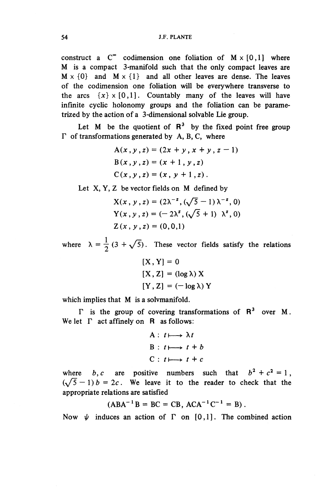construct a  $C^{\infty}$  codimension one foliation of  $M \times [0,1]$  where M is a compact 3-manifold such that the only compact leaves are  $M \times \{0\}$  and  $M \times \{1\}$  and all other leaves are dense. The leaves of the codimension one foliation will be everywhere transverse to the arcs  $\{x\} \times [0,1]$ . Countably many of the leaves will have infinite cyclic holonomy groups and the foliation can be parametrized by the action of a 3-dimensional solvable Lie group.

Let M be the quotient of  $R^3$  by the fixed point free group  $\Gamma$  of transformations generated by A, B, C, where

*A(x* , *y* , *z)* = *(2x* + *y* , *x* + *y* , *z -* 1) *B(x,y,z) = (x* + l,^,z ) C *(x* , *y* , z) = *(x* , *y +* 1 , z).

Let X, Y, Z be vector fields on M defined by  
\n
$$
X(x, y, z) = (2\lambda^{-z}, (\sqrt{5} - 1) \lambda^{-z}, 0)
$$
\n
$$
Y(x, y, z) = (-2\lambda^{z}, (\sqrt{5} + 1) \lambda^{z}, 0)
$$
\n
$$
Z(x, y, z) = (0, 0, 1)
$$

where  $\lambda = \frac{1}{2} (3 + \sqrt{5})$ . These vector fields satisfy the relations

$$
[X, Y] = 0
$$
  

$$
[X, Z] = (\log \lambda) X
$$
  

$$
[Y, Z] = (-\log \lambda) Y
$$

which implies that M is a solvmanifold.

 $\Gamma$  is the group of covering transformations of  $R^3$  over M. We let  $\Gamma$  act affinely on  $\mathbb R$  as follows:

A: 
$$
t \mapsto \lambda t
$$
  
B:  $t \mapsto t + b$   
C:  $t \mapsto t + c$ 

where  $b, c$  are positive numbers such that  $b^2 + c^2 = 1$ ,  $(\sqrt{5}-1) b = 2c$ . We leave it to the reader to check that the appropriate relations are satisfied

$$
(ABA^{-1}B = BC = CB, ACA^{-1}C^{-1} = B).
$$

Now  $\psi$  induces an action of  $\Gamma$  on [0,1]. The combined action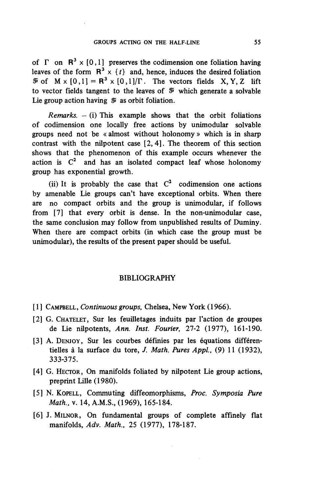of  $\Gamma$  on  $\mathbb{R}^3 \times [0,1]$  preserves the codimension one foliation having leaves of the form  $R^3 \times \{t\}$  and, hence, induces the desired foliation  $\mathcal{F}$  of  $M \times [0,1] = R^3 \times [0,1]/\Gamma$ . The vectors fields X, Y, Z lift to vector fields tangent to the leaves of  $\mathcal V$  which generate a solvable Lie group action having  $\mathcal I$  as orbit foliation.

*Remarks. -* (i) This example shows that the orbit foliations of codimension one locally free actions by unimodular solvable groups need not be « almost without holonomy » which is in sharp contrast with the nilpotent case [2,4]. The theorem of this section shows that the phenomenon of this example occurs whenever the action is  $C^2$  and has an isolated compact leaf whose holonomy group has exponential growth.

(ii) It is probably the case that  $C^2$  codimension one actions by amenable Lie groups can't have exceptional orbits. When there are no compact orbits and the group is unimodular, if follows from [7] that every orbit is dense. In the non-unimodular case, the same conclusion may follow from unpublished results of Duminy. When there are compact orbits (in which case the group must be unimodular), the results of the present paper should be useful.

#### BIBLIOGRAPHY

- [1] CAMPBELL, *Continuous groups,* Chelsea, New York (1966).
- [2] G. CHATELET, Sur les feuilletages induits par l'action de groupes de Lie nilpotents, *Ann. Inst. Fourier,* 27-2 (1977), 161-190.
- [3] A. DENJOY, Sur les courbes définies par les équations différentielles a la surface du tore, /. *Math. Pures Appi,* (9) 11 (1932), 333-375.
- [4] G. HECTOR, On manifolds foliated by nilpotent Lie group actions, preprint Lille (1980).
- [5] N. KOPELL, Commuting diffeomorphisms, *Proc. Symposia Pure Math.,* v. 14, A.M.S., (1969), 165-184.
- [6] J. MILNOR, On fundamental groups of complete affinely flat manifolds. *Adv. Math.,* 25 (1977), 178-187.